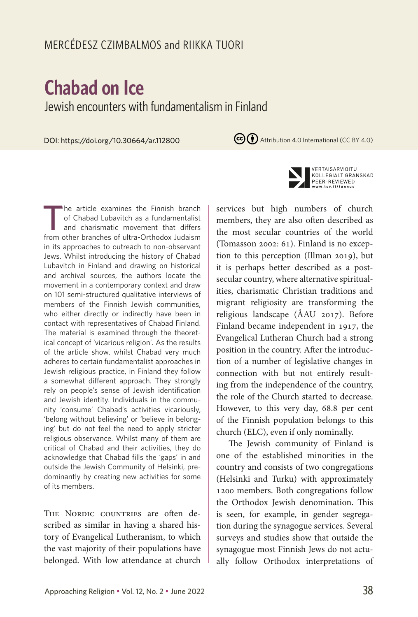# **Chabad on Ice** Jewish encounters with fundamentalism in Finland

DOI: https://doi.org/10.30664/ar.112800

(cc) (i) Attribution 4.0 International (CC BY 4.0)



THE NORDIC COUNTRIES are often described as similar in having a shared history of Evangelical Lutheranism, to which the vast majority of their populations have belonged. With low attendance at church



VERTAISARVIOITU KOLLEGIALT GRANSKAD PEER-REVIEWED W.tsv.fi/tunnus

services but high numbers of church members, they are also often described as the most secular countries of the world (Tomasson 2002: 61). Finland is no exception to this perception (Illman 2019), but it is perhaps better described as a postsecular country, where alternative spiritualities, charismatic Christian traditions and migrant religiosity are transforming the religious landscape (ÅAU 2017). Before Finland became independent in 1917, the Evangelical Lutheran Church had a strong position in the country. After the introduction of a number of legislative changes in connection with but not entirely resulting from the independence of the country, the role of the Church started to decrease. However, to this very day, 68.8 per cent of the Finnish population belongs to this church (ELC), even if only nominally.

The Jewish community of Finland is one of the established minorities in the country and consists of two congregations (Helsinki and Turku) with approximately 1200 members. Both congregations follow the Orthodox Jewish denomination. This is seen, for example, in gender segregation during the synagogue services. Several surveys and studies show that outside the synagogue most Finnish Jews do not actually follow Orthodox interpretations of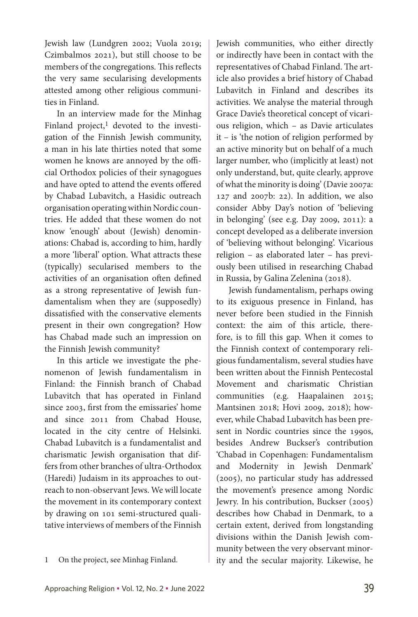Jewish law (Lundgren 2002; Vuola 2019; Czimbalmos 2021), but still choose to be members of the congregations. This reflects the very same secularising developments attested among other religious communities in Finland.

In an interview made for the Minhag Finland project, $1$  devoted to the investigation of the Finnish Jewish community, a man in his late thirties noted that some women he knows are annoyed by the official Orthodox policies of their synagogues and have opted to attend the events offered by Chabad Lubavitch, a Hasidic outreach organisation operating within Nordic countries. He added that these women do not know 'enough' about (Jewish) denominations: Chabad is, according to him, hardly a more 'liberal' option. What attracts these (typically) secularised members to the activities of an organisation often defined as a strong representative of Jewish fundamentalism when they are (supposedly) dissatisfied with the conservative elements present in their own congregation? How has Chabad made such an impression on the Finnish Jewish community?

In this article we investigate the phenomenon of Jewish fundamentalism in Finland: the Finnish branch of Chabad Lubavitch that has operated in Finland since 2003, first from the emissaries' home and since 2011 from Chabad House, located in the city centre of Helsinki. Chabad Lubavitch is a fundamentalist and charismatic Jewish organisation that differs from other branches of ultra-Orthodox (Haredi) Judaism in its approaches to outreach to non-observant Jews. We will locate the movement in its contemporary context by drawing on 101 semi-structured qualitative interviews of members of the Finnish

1 On the project, see Minhag Finland.

Jewish communities, who either directly or indirectly have been in contact with the representatives of Chabad Finland. The article also provides a brief history of Chabad Lubavitch in Finland and describes its activities. We analyse the material through Grace Davie's theoretical concept of vicarious religion, which – as Davie articulates it – is 'the notion of religion performed by an active minority but on behalf of a much larger number, who (implicitly at least) not only understand, but, quite clearly, approve of what the minority is doing' (Davie 2007a: 127 and 2007b: 22). In addition, we also consider Abby Day's notion of 'believing in belonging' (see e.g. Day 2009, 2011): a concept developed as a deliberate inversion of 'believing without belonging'. Vicarious religion – as elaborated later – has previously been utilised in researching Chabad in Russia, by Galina Zelenina (2018).

Jewish fundamentalism, perhaps owing to its exiguous presence in Finland, has never before been studied in the Finnish context: the aim of this article, therefore, is to fill this gap. When it comes to the Finnish context of contemporary religious fundamentalism, several studies have been written about the Finnish Pentecostal Movement and charismatic Christian communities (e.g. Haapalainen 2015; Mantsinen 2018; Hovi 2009, 2018); however, while Chabad Lubavitch has been present in Nordic countries since the 1990s, besides Andrew Buckser's contribution 'Chabad in Copenhagen: Fundamentalism and Modernity in Jewish Denmark' (2005), no particular study has addressed the movement's presence among Nordic Jewry. In his contribution, Buckser (2005) describes how Chabad in Denmark, to a certain extent, derived from longstanding divisions within the Danish Jewish community between the very observant minority and the secular majority. Likewise, he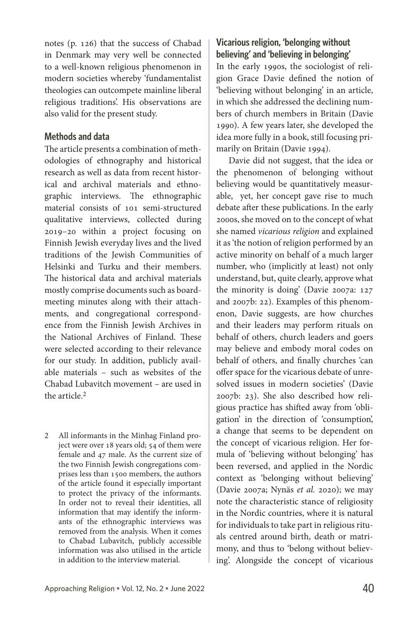notes (p. 126) that the success of Chabad in Denmark may very well be connected to a well-known religious phenomenon in modern societies whereby 'fundamentalist theologies can outcompete mainline liberal religious traditions'. His observations are also valid for the present study.

# **Methods and data**

The article presents a combination of methodologies of ethnography and historical research as well as data from recent historical and archival materials and ethnographic interviews. The ethnographic material consists of 101 semi-structured qualitative interviews, collected during 2019–20 within a project focusing on Finnish Jewish everyday lives and the lived traditions of the Jewish Communities of Helsinki and Turku and their members. The historical data and archival materials mostly comprise documents such as boardmeeting minutes along with their attachments, and congregational correspondence from the Finnish Jewish Archives in the National Archives of Finland. These were selected according to their relevance for our study. In addition, publicly available materials – such as websites of the Chabad Lubavitch movement – are used in the article.2

2 All informants in the Minhag Finland project were over 18 years old; 54 of them were female and 47 male. As the current size of the two Finnish Jewish congregations comprises less than 1500 members, the authors of the article found it especially important to protect the privacy of the informants. In order not to reveal their identities, all information that may identify the informants of the ethnographic interviews was removed from the analysis. When it comes to Chabad Lubavitch, publicly accessible information was also utilised in the article in addition to the interview material.

# **Vicarious religion, 'belonging without believing' and 'believing in belonging'**

In the early 1990s, the sociologist of religion Grace Davie defined the notion of 'believing without belonging' in an article, in which she addressed the declining numbers of church members in Britain (Davie 1990). A few years later, she developed the idea more fully in a book, still focusing primarily on Britain (Davie 1994).

Davie did not suggest, that the idea or the phenomenon of belonging without believing would be quantitatively measurable, yet, her concept gave rise to much debate after these publications. In the early 2000s, she moved on to the concept of what she named *vicarious religion* and explained it as 'the notion of religion performed by an active minority on behalf of a much larger number, who (implicitly at least) not only understand, but, quite clearly, approve what the minority is doing' (Davie 2007a: 127 and 2007b: 22). Examples of this phenomenon, Davie suggests, are how churches and their leaders may perform rituals on behalf of others, church leaders and goers may believe and embody moral codes on behalf of others, and finally churches 'can offer space for the vicarious debate of unresolved issues in modern societies' (Davie 2007b: 23). She also described how religious practice has shifted away from 'obligation' in the direction of 'consumption', a change that seems to be dependent on the concept of vicarious religion. Her formula of 'believing without belonging' has been reversed, and applied in the Nordic context as 'belonging without believing' (Davie 2007a; Nynäs *et al.* 2020); we may note the characteristic stance of religiosity in the Nordic countries, where it is natural for individuals to take part in religious rituals centred around birth, death or matrimony, and thus to 'belong without believing'. Alongside the concept of vicarious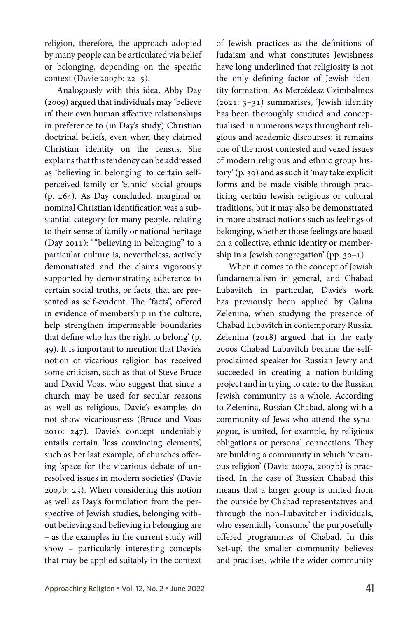religion, therefore, the approach adopted by many people can be articulated via belief or belonging, depending on the specific context (Davie 2007b: 22–5).

Analogously with this idea, Abby Day (2009) argued that individuals may 'believe in' their own human affective relationships in preference to (in Day's study) Christian doctrinal beliefs, even when they claimed Christian identity on the census. She explains that this tendency can be addressed as 'believing in belonging' to certain selfperceived family or 'ethnic' social groups (p. 264). As Day concluded, marginal or nominal Christian identification was a substantial category for many people, relating to their sense of family or national heritage (Day 2011): '"believing in belonging" to a particular culture is, nevertheless, actively demonstrated and the claims vigorously supported by demonstrating adherence to certain social truths, or facts, that are presented as self-evident. The "facts", offered in evidence of membership in the culture, help strengthen impermeable boundaries that define who has the right to belong' (p. 49). It is important to mention that Davie's notion of vicarious religion has received some criticism, such as that of Steve Bruce and David Voas, who suggest that since a church may be used for secular reasons as well as religious, Davie's examples do not show vicariousness (Bruce and Voas 2010: 247). Davie's concept undeniably entails certain 'less convincing elements', such as her last example, of churches offering 'space for the vicarious debate of unresolved issues in modern societies' (Davie 2007b: 23). When considering this notion as well as Day's formulation from the perspective of Jewish studies, belonging without believing and believing in belonging are – as the examples in the current study will show – particularly interesting concepts that may be applied suitably in the context of Jewish practices as the definitions of Judaism and what constitutes Jewishness have long underlined that religiosity is not the only defining factor of Jewish identity formation. As Mercédesz Czimbalmos (2021: 3–31) summarises, 'Jewish identity has been thoroughly studied and conceptualised in numerous ways throughout religious and academic discourses: it remains one of the most contested and vexed issues of modern religious and ethnic group history' (p. 30) and as such it 'may take explicit forms and be made visible through practicing certain Jewish religious or cultural traditions, but it may also be demonstrated in more abstract notions such as feelings of belonging, whether those feelings are based on a collective, ethnic identity or membership in a Jewish congregation' (pp. 30–1).

When it comes to the concept of Jewish fundamentalism in general, and Chabad Lubavitch in particular, Davie's work has previously been applied by Galina Zelenina, when studying the presence of Chabad Lubavitch in contemporary Russia. Zelenina (2018) argued that in the early 2000s Chabad Lubavitch became the selfproclaimed speaker for Russian Jewry and succeeded in creating a nation-building project and in trying to cater to the Russian Jewish community as a whole. According to Zelenina, Russian Chabad, along with a community of Jews who attend the synagogue, is united, for example, by religious obligations or personal connections. They are building a community in which 'vicarious religion' (Davie 2007a, 2007b) is practised. In the case of Russian Chabad this means that a larger group is united from the outside by Chabad representatives and through the non-Lubavitcher individuals, who essentially 'consume' the purposefully offered programmes of Chabad. In this 'set-up', the smaller community believes and practises, while the wider community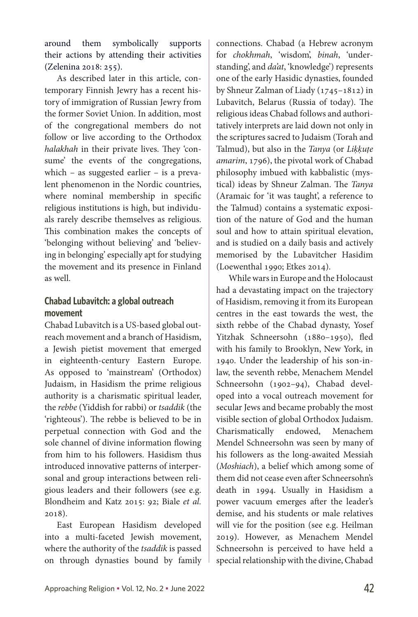around them symbolically supports their actions by attending their activities (Zelenina 2018: 255).

As described later in this article, contemporary Finnish Jewry has a recent history of immigration of Russian Jewry from the former Soviet Union. In addition, most of the congregational members do not follow or live according to the Orthodox *halakhah* in their private lives. They 'consume' the events of the congregations, which – as suggested earlier – is a prevalent phenomenon in the Nordic countries, where nominal membership in specific religious institutions is high, but individuals rarely describe themselves as religious. This combination makes the concepts of 'belonging without believing' and 'believing in belonging' especially apt for studying the movement and its presence in Finland as well.

# **Chabad Lubavitch: a global outreach movement**

Chabad Lubavitch is a US-based global outreach movement and a branch of Hasidism, a Jewish pietist movement that emerged in eighteenth-century Eastern Europe. As opposed to 'mainstream' (Orthodox) Judaism, in Hasidism the prime religious authority is a charismatic spiritual leader, the *rebbe* (Yiddish for rabbi) or *tsaddik* (the 'righteous'). The rebbe is believed to be in perpetual connection with God and the sole channel of divine information flowing from him to his followers. Hasidism thus introduced innovative patterns of interpersonal and group interactions between religious leaders and their followers (see e.g. Blondheim and Katz 2015: 92; Biale *et al.* 2018).

East European Hasidism developed into a multi-faceted Jewish movement, where the authority of the *tsaddik* is passed on through dynasties bound by family connections. Chabad (a Hebrew acronym for *chokhmah*, 'wisdom', *binah*, 'understanding', and *da'at*, 'knowledge') represents one of the early Hasidic dynasties, founded by Shneur Zalman of Liady (1745–1812) in Lubavitch, Belarus (Russia of today). The religious ideas Chabad follows and authoritatively interprets are laid down not only in the scriptures sacred to Judaism (Torah and Talmud), but also in the *Tanya* (or *Liḳḳuṭe amarim*, 1796), the pivotal work of Chabad philosophy imbued with kabbalistic (mystical) ideas by Shneur Zalman. The *Tanya*  (Aramaic for 'it was taught', a reference to the Talmud) contains a systematic exposition of the nature of God and the human soul and how to attain spiritual elevation, and is studied on a daily basis and actively memorised by the Lubavitcher Hasidim (Loewenthal 1990; Etkes 2014).

While wars in Europe and the Holocaust had a devastating impact on the trajectory of Hasidism, removing it from its European centres in the east towards the west, the sixth rebbe of the Chabad dynasty, Yosef Yitzhak Schneersohn (1880–1950), fled with his family to Brooklyn, New York, in 1940. Under the leadership of his son-inlaw, the seventh rebbe, Menachem Mendel Schneersohn (1902–94), Chabad developed into a vocal outreach movement for secular Jews and became probably the most visible section of global Orthodox Judaism. Charismatically endowed, Menachem Mendel Schneersohn was seen by many of his followers as the long-awaited Messiah (*Moshiach*), a belief which among some of them did not cease even after Schneersohn's death in 1994. Usually in Hasidism a power vacuum emerges after the leader's demise, and his students or male relatives will vie for the position (see e.g. Heilman 2019). However, as Menachem Mendel Schneersohn is perceived to have held a special relationship with the divine, Chabad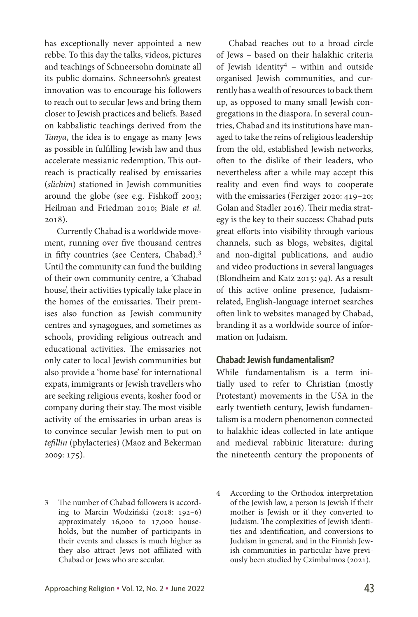has exceptionally never appointed a new rebbe. To this day the talks, videos, pictures and teachings of Schneersohn dominate all its public domains. Schneersohn's greatest innovation was to encourage his followers to reach out to secular Jews and bring them closer to Jewish practices and beliefs. Based on kabbalistic teachings derived from the *Tanya*, the idea is to engage as many Jews as possible in fulfilling Jewish law and thus accelerate messianic redemption. This outreach is practically realised by emissaries (*slichim*) stationed in Jewish communities around the globe (see e.g. Fishkoff 2003; Heilman and Friedman 2010; Biale *et al.* 2018).

Currently Chabad is a worldwide movement, running over five thousand centres in fifty countries (see Centers, Chabad).3 Until the community can fund the building of their own community centre, a 'Chabad house', their activities typically take place in the homes of the emissaries. Their premises also function as Jewish community centres and synagogues, and sometimes as schools, providing religious outreach and educational activities. The emissaries not only cater to local Jewish communities but also provide a 'home base' for international expats, immigrants or Jewish travellers who are seeking religious events, kosher food or company during their stay. The most visible activity of the emissaries in urban areas is to convince secular Jewish men to put on *tefillin* (phylacteries) (Maoz and Bekerman 2009: 175).

3 The number of Chabad followers is according to Marcin Wodziński (2018: 192–6) approximately 16,000 to 17,000 households, but the number of participants in their events and classes is much higher as they also attract Jews not affiliated with Chabad or Jews who are secular.

Chabad reaches out to a broad circle of Jews – based on their halakhic criteria of Jewish identity4 – within and outside organised Jewish communities, and currently has a wealth of resources to back them up, as opposed to many small Jewish congregations in the diaspora. In several countries, Chabad and its institutions have managed to take the reins of religious leadership from the old, established Jewish networks, often to the dislike of their leaders, who nevertheless after a while may accept this reality and even find ways to cooperate with the emissaries (Ferziger 2020: 419–20; Golan and Stadler 2016). Their media strategy is the key to their success: Chabad puts great efforts into visibility through various channels, such as blogs, websites, digital and non-digital publications, and audio and video productions in several languages (Blondheim and Katz 2015: 94). As a result of this active online presence, Judaismrelated, English-language internet searches often link to websites managed by Chabad, branding it as a worldwide source of information on Judaism.

### **Chabad: Jewish fundamentalism?**

While fundamentalism is a term initially used to refer to Christian (mostly Protestant) movements in the USA in the early twentieth century, Jewish fundamentalism is a modern phenomenon connected to halakhic ideas collected in late antique and medieval rabbinic literature: during the nineteenth century the proponents of

<sup>4</sup> According to the Orthodox interpretation of the Jewish law, a person is Jewish if their mother is Jewish or if they converted to Judaism. The complexities of Jewish identities and identification, and conversions to Judaism in general, and in the Finnish Jewish communities in particular have previously been studied by Czimbalmos (2021).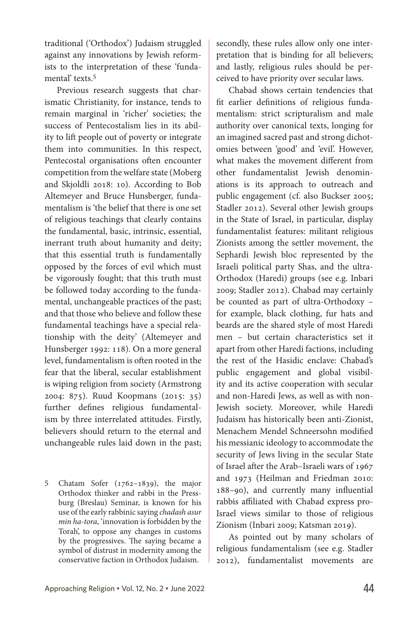traditional ('Orthodox') Judaism struggled against any innovations by Jewish reformists to the interpretation of these 'fundamental' texts.5

Previous research suggests that charismatic Christianity, for instance, tends to remain marginal in 'richer' societies; the success of Pentecostalism lies in its ability to lift people out of poverty or integrate them into communities. In this respect, Pentecostal organisations often encounter competition from the welfare state (Moberg and Skjoldli 2018: 10). According to Bob Altemeyer and Bruce Hunsberger, fundamentalism is 'the belief that there is one set of religious teachings that clearly contains the fundamental, basic, intrinsic, essential, inerrant truth about humanity and deity; that this essential truth is fundamentally opposed by the forces of evil which must be vigorously fought; that this truth must be followed today according to the fundamental, unchangeable practices of the past; and that those who believe and follow these fundamental teachings have a special relationship with the deity' (Altemeyer and Hunsberger 1992: 118). On a more general level, fundamentalism is often rooted in the fear that the liberal, secular establishment is wiping religion from society (Armstrong 2004: 875). Ruud Koopmans (2015: 35) further defines religious fundamentalism by three interrelated attitudes. Firstly, believers should return to the eternal and unchangeable rules laid down in the past;

5 Chatam Sofer (1762–1839), the major Orthodox thinker and rabbi in the Pressburg (Breslau) Seminar, is known for his use of the early rabbinic saying *chadash asur min ha-tora*, 'innovation is forbidden by the Torah', to oppose any changes in customs by the progressives. The saying became a symbol of distrust in modernity among the conservative faction in Orthodox Judaism.

secondly, these rules allow only one interpretation that is binding for all believers; and lastly, religious rules should be perceived to have priority over secular laws.

Chabad shows certain tendencies that fit earlier definitions of religious fundamentalism: strict scripturalism and male authority over canonical texts, longing for an imagined sacred past and strong dichotomies between 'good' and 'evil'. However, what makes the movement different from other fundamentalist Jewish denominations is its approach to outreach and public engagement (cf. also Buckser 2005; Stadler 2012). Several other Jewish groups in the State of Israel, in particular, display fundamentalist features: militant religious Zionists among the settler movement, the Sephardi Jewish bloc represented by the Israeli political party Shas, and the ultra-Orthodox (Haredi) groups (see e.g. Inbari 2009; Stadler 2012). Chabad may certainly be counted as part of ultra-Orthodoxy – for example, black clothing, fur hats and beards are the shared style of most Haredi men – but certain characteristics set it apart from other Haredi factions, including the rest of the Hasidic enclave: Chabad's public engagement and global visibility and its active cooperation with secular and non-Haredi Jews, as well as with non-Jewish society. Moreover, while Haredi Judaism has historically been anti-Zionist, Menachem Mendel Schneersohn modified his messianic ideology to accommodate the security of Jews living in the secular State of Israel after the Arab–Israeli wars of 1967 and 1973 (Heilman and Friedman 2010: 188–90), and currently many influential rabbis affiliated with Chabad express pro-Israel views similar to those of religious Zionism (Inbari 2009; Katsman 2019).

As pointed out by many scholars of religious fundamentalism (see e.g. Stadler 2012), fundamentalist movements are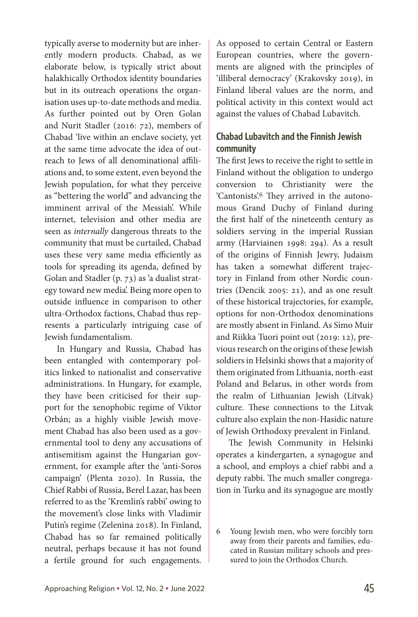typically averse to modernity but are inherently modern products. Chabad, as we elaborate below, is typically strict about halakhically Orthodox identity boundaries but in its outreach operations the organisation uses up-to-date methods and media. As further pointed out by Oren Golan and Nurit Stadler (2016: 72), members of Chabad 'live within an enclave society, yet at the same time advocate the idea of outreach to Jews of all denominational affiliations and, to some extent, even beyond the Jewish population, for what they perceive as "bettering the world" and advancing the imminent arrival of the Messiah'. While internet, television and other media are seen as *internally* dangerous threats to the community that must be curtailed, Chabad uses these very same media efficiently as tools for spreading its agenda, defined by Golan and Stadler (p. 73) as 'a dualist strategy toward new media'. Being more open to outside influence in comparison to other ultra-Orthodox factions, Chabad thus represents a particularly intriguing case of Jewish fundamentalism.

In Hungary and Russia, Chabad has been entangled with contemporary politics linked to nationalist and conservative administrations. In Hungary, for example, they have been criticised for their support for the xenophobic regime of Viktor Orbán; as a highly visible Jewish movement Chabad has also been used as a governmental tool to deny any accusations of antisemitism against the Hungarian government, for example after the 'anti-Soros campaign' (Plenta 2020). In Russia, the Chief Rabbi of Russia, Berel Lazar, has been referred to as the 'Kremlin's rabbi' owing to the movement's close links with Vladimir Putin's regime (Zelenina 2018). In Finland, Chabad has so far remained politically neutral, perhaps because it has not found a fertile ground for such engagements.

As opposed to certain Central or Eastern European countries, where the governments are aligned with the principles of 'illiberal democracy' (Krakovsky 2019), in Finland liberal values are the norm, and political activity in this context would act against the values of Chabad Lubavitch.

# **Chabad Lubavitch and the Finnish Jewish community**

The first Jews to receive the right to settle in Finland without the obligation to undergo conversion to Christianity were the 'Cantonists'.6 They arrived in the autonomous Grand Duchy of Finland during the first half of the nineteenth century as soldiers serving in the imperial Russian army (Harviainen 1998: 294). As a result of the origins of Finnish Jewry, Judaism has taken a somewhat different trajectory in Finland from other Nordic countries (Dencik 2005: 21), and as one result of these historical trajectories, for example, options for non-Orthodox denominations are mostly absent in Finland. As Simo Muir and Riikka Tuori point out (2019: 12), previous research on the origins of these Jewish soldiers in Helsinki shows that a majority of them originated from Lithuania, north-east Poland and Belarus, in other words from the realm of Lithuanian Jewish (Litvak) culture. These connections to the Litvak culture also explain the non-Hasidic nature of Jewish Orthodoxy prevalent in Finland.

The Jewish Community in Helsinki operates a kindergarten, a synagogue and a school, and employs a chief rabbi and a deputy rabbi. The much smaller congregation in Turku and its synagogue are mostly

<sup>6</sup> Young Jewish men, who were forcibly torn away from their parents and families, educated in Russian military schools and pressured to join the Orthodox Church.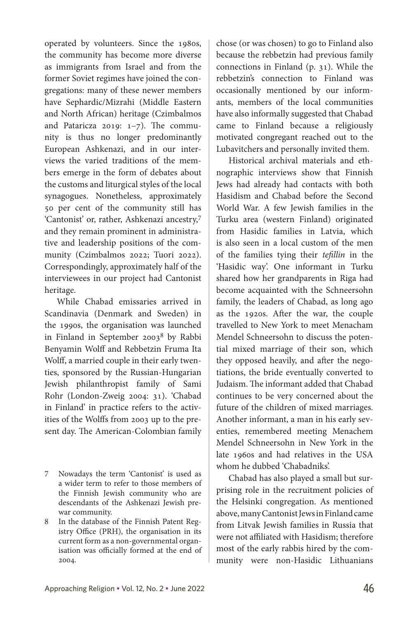operated by volunteers. Since the 1980s, the community has become more diverse as immigrants from Israel and from the former Soviet regimes have joined the congregations: many of these newer members have Sephardic/Mizrahi (Middle Eastern and North African) heritage (Czimbalmos and Pataricza 2019: 1–7). The community is thus no longer predominantly European Ashkenazi, and in our interviews the varied traditions of the members emerge in the form of debates about the customs and liturgical styles of the local synagogues. Nonetheless, approximately 50 per cent of the community still has 'Cantonist' or, rather, Ashkenazi ancestry,7 and they remain prominent in administrative and leadership positions of the community (Czimbalmos 2022; Tuori 2022). Correspondingly, approximately half of the interviewees in our project had Cantonist heritage.

While Chabad emissaries arrived in Scandinavia (Denmark and Sweden) in the 1990s, the organisation was launched in Finland in September 20038 by Rabbi Benyamin Wolff and Rebbetzin Fruma Ita Wolff, a married couple in their early twenties, sponsored by the Russian-Hungarian Jewish philanthropist family of Sami Rohr (London-Zweig 2004: 31). 'Chabad in Finland' in practice refers to the activities of the Wolffs from 2003 up to the present day. The American-Colombian family chose (or was chosen) to go to Finland also because the rebbetzin had previous family connections in Finland (p. 31). While the rebbetzin's connection to Finland was occasionally mentioned by our informants, members of the local communities have also informally suggested that Chabad came to Finland because a religiously motivated congregant reached out to the Lubavitchers and personally invited them.

Historical archival materials and ethnographic interviews show that Finnish Jews had already had contacts with both Hasidism and Chabad before the Second World War. A few Jewish families in the Turku area (western Finland) originated from Hasidic families in Latvia, which is also seen in a local custom of the men of the families tying their *tefillin* in the 'Hasidic way'. One informant in Turku shared how her grandparents in Riga had become acquainted with the Schneersohn family, the leaders of Chabad, as long ago as the 1920s. After the war, the couple travelled to New York to meet Menacham Mendel Schneersohn to discuss the potential mixed marriage of their son, which they opposed heavily, and after the negotiations, the bride eventually converted to Judaism. The informant added that Chabad continues to be very concerned about the future of the children of mixed marriages. Another informant, a man in his early seventies, remembered meeting Menachem Mendel Schneersohn in New York in the late 1960s and had relatives in the USA whom he dubbed 'Chabadniks'.

Chabad has also played a small but surprising role in the recruitment policies of the Helsinki congregation. As mentioned above, many Cantonist Jews in Finland came from Litvak Jewish families in Russia that were not affiliated with Hasidism; therefore most of the early rabbis hired by the community were non-Hasidic Lithuanians

<sup>7</sup> Nowadays the term 'Cantonist' is used as a wider term to refer to those members of the Finnish Jewish community who are descendants of the Ashkenazi Jewish prewar community.

<sup>8</sup> In the database of the Finnish Patent Registry Office (PRH), the organisation in its current form as a non-governmental organisation was officially formed at the end of 2004.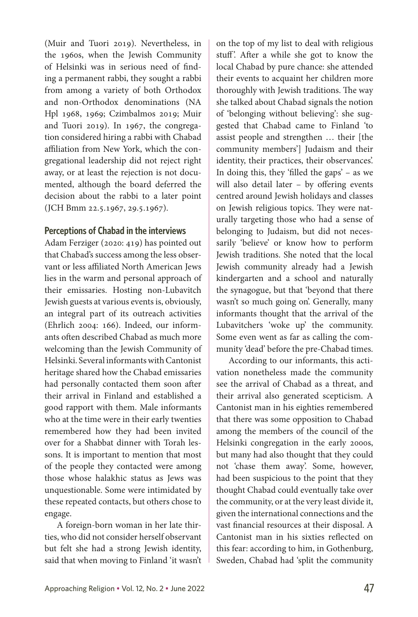(Muir and Tuori 2019). Nevertheless, in the 1960s, when the Jewish Community of Helsinki was in serious need of finding a permanent rabbi, they sought a rabbi from among a variety of both Orthodox and non-Orthodox denominations (NA Hpl 1968, 1969; Czimbalmos 2019; Muir and Tuori 2019). In 1967, the congregation considered hiring a rabbi with Chabad affiliation from New York, which the congregational leadership did not reject right away, or at least the rejection is not documented, although the board deferred the decision about the rabbi to a later point (JCH Bmm 22.5.1967, 29.5.1967).

# **Perceptions of Chabad in the interviews**

Adam Ferziger (2020: 419) has pointed out that Chabad's success among the less observant or less affiliated North American Jews lies in the warm and personal approach of their emissaries. Hosting non-Lubavitch Jewish guests at various events is, obviously, an integral part of its outreach activities (Ehrlich 2004: 166). Indeed, our informants often described Chabad as much more welcoming than the Jewish Community of Helsinki. Several informants with Cantonist heritage shared how the Chabad emissaries had personally contacted them soon after their arrival in Finland and established a good rapport with them. Male informants who at the time were in their early twenties remembered how they had been invited over for a Shabbat dinner with Torah lessons. It is important to mention that most of the people they contacted were among those whose halakhic status as Jews was unquestionable. Some were intimidated by these repeated contacts, but others chose to engage.

A foreign-born woman in her late thirties, who did not consider herself observant but felt she had a strong Jewish identity, said that when moving to Finland 'it wasn't on the top of my list to deal with religious stuff'. After a while she got to know the local Chabad by pure chance: she attended their events to acquaint her children more thoroughly with Jewish traditions. The way she talked about Chabad signals the notion of 'belonging without believing': she suggested that Chabad came to Finland 'to assist people and strengthen … their [the community members'] Judaism and their identity, their practices, their observances'. In doing this, they 'filled the gaps' – as we will also detail later – by offering events centred around Jewish holidays and classes on Jewish religious topics. They were naturally targeting those who had a sense of belonging to Judaism, but did not necessarily 'believe' or know how to perform Jewish traditions. She noted that the local Jewish community already had a Jewish kindergarten and a school and naturally the synagogue, but that 'beyond that there wasn't so much going on'. Generally, many informants thought that the arrival of the Lubavitchers 'woke up' the community. Some even went as far as calling the community 'dead' before the pre-Chabad times.

According to our informants, this activation nonetheless made the community see the arrival of Chabad as a threat, and their arrival also generated scepticism. A Cantonist man in his eighties remembered that there was some opposition to Chabad among the members of the council of the Helsinki congregation in the early 2000s, but many had also thought that they could not 'chase them away'. Some, however, had been suspicious to the point that they thought Chabad could eventually take over the community, or at the very least divide it, given the international connections and the vast financial resources at their disposal. A Cantonist man in his sixties reflected on this fear: according to him, in Gothenburg, Sweden, Chabad had 'split the community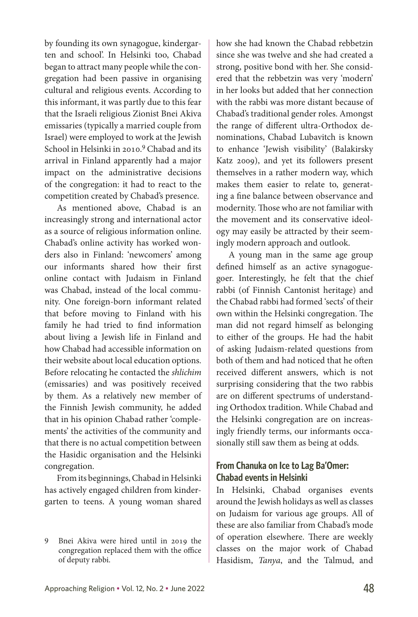by founding its own synagogue, kindergarten and school'. In Helsinki too, Chabad began to attract many people while the congregation had been passive in organising cultural and religious events. According to this informant, it was partly due to this fear that the Israeli religious Zionist Bnei Akiva emissaries (typically a married couple from Israel) were employed to work at the Jewish School in Helsinki in 2010. 9 Chabad and its arrival in Finland apparently had a major impact on the administrative decisions of the congregation: it had to react to the competition created by Chabad's presence.

As mentioned above, Chabad is an increasingly strong and international actor as a source of religious information online. Chabad's online activity has worked wonders also in Finland: 'newcomers' among our informants shared how their first online contact with Judaism in Finland was Chabad, instead of the local community. One foreign-born informant related that before moving to Finland with his family he had tried to find information about living a Jewish life in Finland and how Chabad had accessible information on their website about local education options. Before relocating he contacted the *shlichim*  (emissaries) and was positively received by them. As a relatively new member of the Finnish Jewish community, he added that in his opinion Chabad rather 'complements' the activities of the community and that there is no actual competition between the Hasidic organisation and the Helsinki congregation.

From its beginnings, Chabad in Helsinki has actively engaged children from kindergarten to teens. A young woman shared how she had known the Chabad rebbetzin since she was twelve and she had created a strong, positive bond with her. She considered that the rebbetzin was very 'modern' in her looks but added that her connection with the rabbi was more distant because of Chabad's traditional gender roles. Amongst the range of different ultra-Orthodox denominations, Chabad Lubavitch is known to enhance 'Jewish visibility' (Balakirsky Katz 2009), and yet its followers present themselves in a rather modern way, which makes them easier to relate to, generating a fine balance between observance and modernity. Those who are not familiar with the movement and its conservative ideology may easily be attracted by their seemingly modern approach and outlook.

A young man in the same age group defined himself as an active synagoguegoer. Interestingly, he felt that the chief rabbi (of Finnish Cantonist heritage) and the Chabad rabbi had formed 'sects' of their own within the Helsinki congregation. The man did not regard himself as belonging to either of the groups. He had the habit of asking Judaism-related questions from both of them and had noticed that he often received different answers, which is not surprising considering that the two rabbis are on different spectrums of understanding Orthodox tradition. While Chabad and the Helsinki congregation are on increasingly friendly terms, our informants occasionally still saw them as being at odds.

# **From Chanuka on Ice to Lag Ba'Omer: Chabad events in Helsinki**

In Helsinki, Chabad organises events around the Jewish holidays as well as classes on Judaism for various age groups. All of these are also familiar from Chabad's mode of operation elsewhere. There are weekly classes on the major work of Chabad Hasidism, *Tanya*, and the Talmud, and

<sup>9</sup> Bnei Akiva were hired until in 2019 the congregation replaced them with the office of deputy rabbi.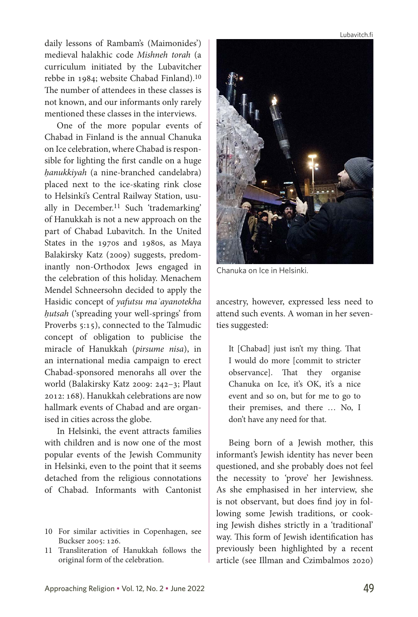Lubavitch.fi

daily lessons of Rambam's (Maimonides') medieval halakhic code *Mishneh torah* (a curriculum initiated by the Lubavitcher rebbe in 1984; website Chabad Finland).10 The number of attendees in these classes is not known, and our informants only rarely mentioned these classes in the interviews.

One of the more popular events of Chabad in Finland is the annual Chanuka on Ice celebration, where Chabad is responsible for lighting the first candle on a huge *ḥanukkiyah* (a nine-branched candelabra) placed next to the ice-skating rink close to Helsinki's Central Railway Station, usually in December.<sup>11</sup> Such 'trademarking' of Hanukkah is not a new approach on the part of Chabad Lubavitch. In the United States in the 1970s and 1980s, as Maya Balakirsky Katz (2009) suggests, predominantly non-Orthodox Jews engaged in the celebration of this holiday. Menachem Mendel Schneersohn decided to apply the Hasidic concept of *yafutsu maʿayanotekha ḥutsah* ('spreading your well-springs' from Proverbs 5:15), connected to the Talmudic concept of obligation to publicise the miracle of Hanukkah (*pirsume nisa*), in an international media campaign to erect Chabad-sponsored menorahs all over the world (Balakirsky Katz 2009: 242–3; Plaut 2012: 168). Hanukkah celebrations are now hallmark events of Chabad and are organised in cities across the globe.

In Helsinki, the event attracts families with children and is now one of the most popular events of the Jewish Community in Helsinki, even to the point that it seems detached from the religious connotations of Chabad. Informants with Cantonist

- 10 For similar activities in Copenhagen, see Buckser 2005: 126.
- 11 Transliteration of Hanukkah follows the original form of the celebration.



Chanuka on Ice in Helsinki.

ancestry, however, expressed less need to attend such events. A woman in her seventies suggested:

It [Chabad] just isn't my thing. That I would do more [commit to stricter observance]. That they organise Chanuka on Ice, it's OK, it's a nice event and so on, but for me to go to their premises, and there … No, I don't have any need for that.

Being born of a Jewish mother, this informant's Jewish identity has never been questioned, and she probably does not feel the necessity to 'prove' her Jewishness. As she emphasised in her interview, she is not observant, but does find joy in following some Jewish traditions, or cooking Jewish dishes strictly in a 'traditional' way. This form of Jewish identification has previously been highlighted by a recent article (see Illman and Czimbalmos 2020)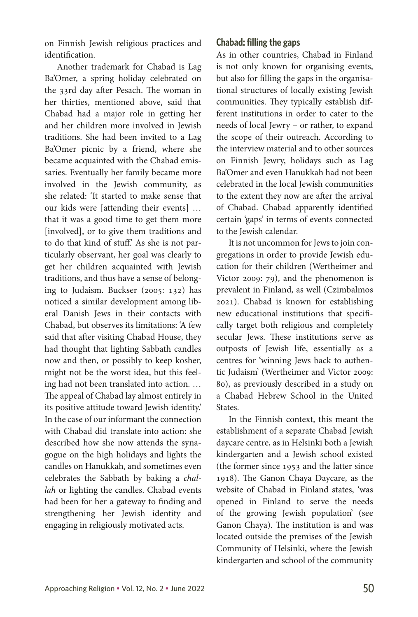on Finnish Jewish religious practices and identification.

Another trademark for Chabad is Lag Ba'Omer, a spring holiday celebrated on the 33rd day after Pesach. The woman in her thirties, mentioned above, said that Chabad had a major role in getting her and her children more involved in Jewish traditions. She had been invited to a Lag Ba'Omer picnic by a friend, where she became acquainted with the Chabad emissaries. Eventually her family became more involved in the Jewish community, as she related: 'It started to make sense that our kids were [attending their events] … that it was a good time to get them more [involved], or to give them traditions and to do that kind of stuff.' As she is not particularly observant, her goal was clearly to get her children acquainted with Jewish traditions, and thus have a sense of belonging to Judaism. Buckser (2005: 132) has noticed a similar development among liberal Danish Jews in their contacts with Chabad, but observes its limitations: 'A few said that after visiting Chabad House, they had thought that lighting Sabbath candles now and then, or possibly to keep kosher, might not be the worst idea, but this feeling had not been translated into action. … The appeal of Chabad lay almost entirely in its positive attitude toward Jewish identity.' In the case of our informant the connection with Chabad did translate into action: she described how she now attends the synagogue on the high holidays and lights the candles on Hanukkah, and sometimes even celebrates the Sabbath by baking a *challah* or lighting the candles. Chabad events had been for her a gateway to finding and strengthening her Jewish identity and engaging in religiously motivated acts.

# **Chabad: filling the gaps**

As in other countries, Chabad in Finland is not only known for organising events, but also for filling the gaps in the organisational structures of locally existing Jewish communities. They typically establish different institutions in order to cater to the needs of local Jewry – or rather, to expand the scope of their outreach. According to the interview material and to other sources on Finnish Jewry, holidays such as Lag Ba'Omer and even Hanukkah had not been celebrated in the local Jewish communities to the extent they now are after the arrival of Chabad. Chabad apparently identified certain 'gaps' in terms of events connected to the Jewish calendar.

It is not uncommon for Jews to join congregations in order to provide Jewish education for their children (Wertheimer and Victor 2009: 79), and the phenomenon is prevalent in Finland, as well (Czimbalmos 2021). Chabad is known for establishing new educational institutions that specifically target both religious and completely secular Jews. These institutions serve as outposts of Jewish life, essentially as a centres for 'winning Jews back to authentic Judaism' (Wertheimer and Victor 2009: 80), as previously described in a study on a Chabad Hebrew School in the United States.

In the Finnish context, this meant the establishment of a separate Chabad Jewish daycare centre, as in Helsinki both a Jewish kindergarten and a Jewish school existed (the former since 1953 and the latter since 1918). The Ganon Chaya Daycare, as the website of Chabad in Finland states, 'was opened in Finland to serve the needs of the growing Jewish population' (see Ganon Chaya). The institution is and was located outside the premises of the Jewish Community of Helsinki, where the Jewish kindergarten and school of the community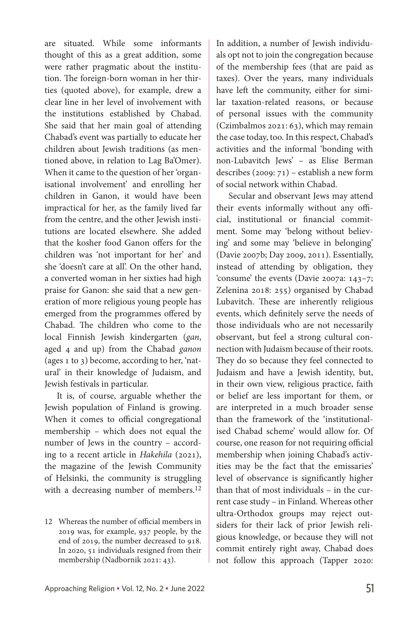are situated. While some informants thought of this as a great addition, some were rather pragmatic about the institution. The foreign-born woman in her thirties (quoted above), for example, drew a clear line in her level of involvement with the institutions established by Chabad. She said that her main goal of attending Chabad's event was partially to educate her children about Jewish traditions (as mentioned above, in relation to Lag Ba'Omer). When it came to the question of her 'organisational involvement' and enrolling her children in Ganon, it would have been impractical for her, as the family lived far from the centre, and the other Jewish institutions are located elsewhere. She added that the kosher food Ganon offers for the children was 'not important for her' and she 'doesn't care at all'. On the other hand, a converted woman in her sixties had high praise for Ganon: she said that a new generation of more religious young people has emerged from the programmes offered by Chabad. The children who come to the local Finnish Jewish kindergarten (*gan*, aged 4 and up) from the Chabad *ganon* (ages 1 to 3) become, according to her, 'natural' in their knowledge of Judaism, and Jewish festivals in particular.

It is, of course, arguable whether the Jewish population of Finland is growing. When it comes to official congregational membership – which does not equal the number of Jews in the country – according to a recent article in *Hakehila* (2021), the magazine of the Jewish Community of Helsinki, the community is struggling with a decreasing number of members.12

12 Whereas the number of official members in 2019 was, for example, 937 people, by the end of 2019, the number decreased to 918. In 2020, 51 individuals resigned from their membership (Nadbornik 2021: 43).

In addition, a number of Jewish individuals opt not to join the congregation because of the membership fees (that are paid as taxes). Over the years, many individuals have left the community, either for similar taxation-related reasons, or because of personal issues with the community (Czimbalmos 2021: 63), which may remain the case today, too. In this respect, Chabad's activities and the informal 'bonding with non-Lubavitch Jews' – as Elise Berman describes (2009: 71) – establish a new form of social network within Chabad.

Secular and observant Jews may attend their events informally without any official, institutional or financial commitment. Some may 'belong without believing' and some may 'believe in belonging' (Davie 2007b; Day 2009, 2011). Essentially, instead of attending by obligation, they 'consume' the events (Davie 2007a: 143–7; Zelenina 2018: 255) organised by Chabad Lubavitch. These are inherently religious events, which definitely serve the needs of those individuals who are not necessarily observant, but feel a strong cultural connection with Judaism because of their roots. They do so because they feel connected to Judaism and have a Jewish identity, but, in their own view, religious practice, faith or belief are less important for them, or are interpreted in a much broader sense than the framework of the 'institutionalised Chabad scheme' would allow for. Of course, one reason for not requiring official membership when joining Chabad's activities may be the fact that the emissaries' level of observance is significantly higher than that of most individuals – in the current case study – in Finland. Whereas other ultra-Orthodox groups may reject outsiders for their lack of prior Jewish religious knowledge, or because they will not commit entirely right away, Chabad does not follow this approach (Tapper 2020: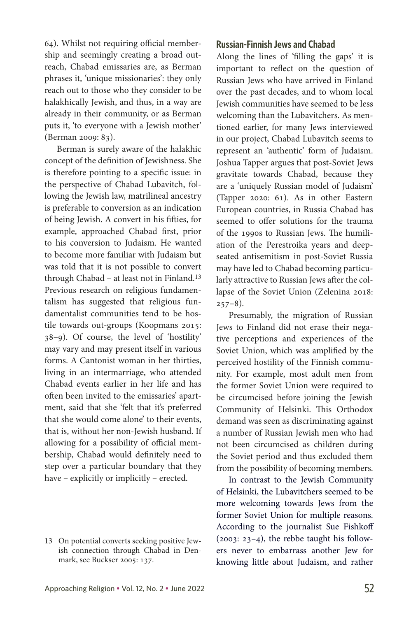64). Whilst not requiring official membership and seemingly creating a broad outreach, Chabad emissaries are, as Berman phrases it, 'unique missionaries': they only reach out to those who they consider to be halakhically Jewish, and thus, in a way are already in their community, or as Berman puts it, 'to everyone with a Jewish mother' (Berman 2009: 83).

Berman is surely aware of the halakhic concept of the definition of Jewishness. She is therefore pointing to a specific issue: in the perspective of Chabad Lubavitch, following the Jewish law, matrilineal ancestry is preferable to conversion as an indication of being Jewish. A convert in his fifties, for example, approached Chabad first, prior to his conversion to Judaism. He wanted to become more familiar with Judaism but was told that it is not possible to convert through Chabad – at least not in Finland.13 Previous research on religious fundamentalism has suggested that religious fundamentalist communities tend to be hostile towards out-groups (Koopmans 2015: 38–9). Of course, the level of 'hostility' may vary and may present itself in various forms. A Cantonist woman in her thirties, living in an intermarriage, who attended Chabad events earlier in her life and has often been invited to the emissaries' apartment, said that she 'felt that it's preferred that she would come alone' to their events, that is, without her non-Jewish husband. If allowing for a possibility of official membership, Chabad would definitely need to step over a particular boundary that they have – explicitly or implicitly – erected.

# **Russian-Finnish Jews and Chabad**

Along the lines of 'filling the gaps' it is important to reflect on the question of Russian Jews who have arrived in Finland over the past decades, and to whom local Jewish communities have seemed to be less welcoming than the Lubavitchers. As mentioned earlier, for many Jews interviewed in our project, Chabad Lubavitch seems to represent an 'authentic' form of Judaism. Joshua Tapper argues that post-Soviet Jews gravitate towards Chabad, because they are a 'uniquely Russian model of Judaism' (Tapper 2020: 61). As in other Eastern European countries, in Russia Chabad has seemed to offer solutions for the trauma of the 1990s to Russian Jews. The humiliation of the Perestroika years and deepseated antisemitism in post-Soviet Russia may have led to Chabad becoming particularly attractive to Russian Jews after the collapse of the Soviet Union (Zelenina 2018:  $257-8$ ).

Presumably, the migration of Russian Jews to Finland did not erase their negative perceptions and experiences of the Soviet Union, which was amplified by the perceived hostility of the Finnish community. For example, most adult men from the former Soviet Union were required to be circumcised before joining the Jewish Community of Helsinki. This Orthodox demand was seen as discriminating against a number of Russian Jewish men who had not been circumcised as children during the Soviet period and thus excluded them from the possibility of becoming members.

In contrast to the Jewish Community of Helsinki, the Lubavitchers seemed to be more welcoming towards Jews from the former Soviet Union for multiple reasons. According to the journalist Sue Fishkoff (2003: 23–4), the rebbe taught his followers never to embarrass another Jew for knowing little about Judaism, and rather

<sup>13</sup> On potential converts seeking positive Jewish connection through Chabad in Denmark, see Buckser 2005: 137.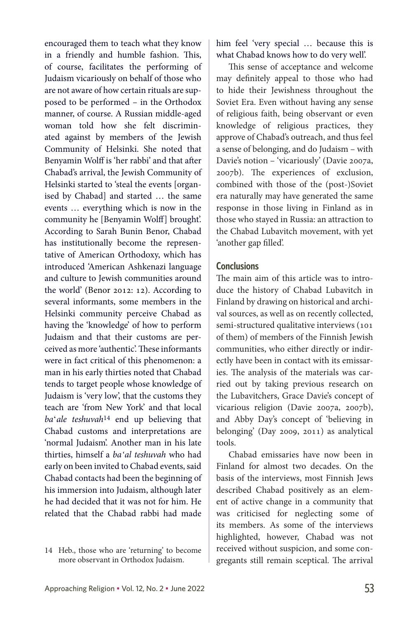encouraged them to teach what they know in a friendly and humble fashion. This, of course, facilitates the performing of Judaism vicariously on behalf of those who are not aware of how certain rituals are supposed to be performed – in the Orthodox manner, of course. A Russian middle-aged woman told how she felt discriminated against by members of the Jewish Community of Helsinki. She noted that Benyamin Wolff is 'her rabbi' and that after Chabad's arrival, the Jewish Community of Helsinki started to 'steal the events [organised by Chabad] and started … the same events … everything which is now in the community he [Benyamin Wolff] brought'. According to Sarah Bunin Benor, Chabad has institutionally become the representative of American Orthodoxy, which has introduced 'American Ashkenazi language and culture to Jewish communities around the world' (Benor 2012: 12). According to several informants, some members in the Helsinki community perceive Chabad as having the 'knowledge' of how to perform Judaism and that their customs are perceived as more 'authentic'. These informants were in fact critical of this phenomenon: a man in his early thirties noted that Chabad tends to target people whose knowledge of Judaism is 'very low', that the customs they teach are 'from New York' and that local *ba*ʻ*ale teshuvah*14 end up believing that Chabad customs and interpretations are 'normal Judaism'. Another man in his late thirties, himself a *baʻal teshuvah* who had early on been invited to Chabad events, said Chabad contacts had been the beginning of his immersion into Judaism, although later he had decided that it was not for him. He related that the Chabad rabbi had made

him feel 'very special … because this is what Chabad knows how to do very well'.

This sense of acceptance and welcome may definitely appeal to those who had to hide their Jewishness throughout the Soviet Era. Even without having any sense of religious faith, being observant or even knowledge of religious practices, they approve of Chabad's outreach, and thus feel a sense of belonging, and do Judaism – with Davie's notion – 'vicariously' (Davie 2007a, 2007b). The experiences of exclusion, combined with those of the (post-)Soviet era naturally may have generated the same response in those living in Finland as in those who stayed in Russia: an attraction to the Chabad Lubavitch movement, with yet 'another gap filled'.

### **Conclusions**

The main aim of this article was to introduce the history of Chabad Lubavitch in Finland by drawing on historical and archival sources, as well as on recently collected, semi-structured qualitative interviews (101 of them) of members of the Finnish Jewish communities, who either directly or indirectly have been in contact with its emissaries. The analysis of the materials was carried out by taking previous research on the Lubavitchers, Grace Davie's concept of vicarious religion (Davie 2007a, 2007b), and Abby Day's concept of 'believing in belonging' (Day 2009, 2011) as analytical tools.

Chabad emissaries have now been in Finland for almost two decades. On the basis of the interviews, most Finnish Jews described Chabad positively as an element of active change in a community that was criticised for neglecting some of its members. As some of the interviews highlighted, however, Chabad was not received without suspicion, and some congregants still remain sceptical. The arrival

<sup>14</sup> Heb., those who are 'returning' to become more observant in Orthodox Judaism.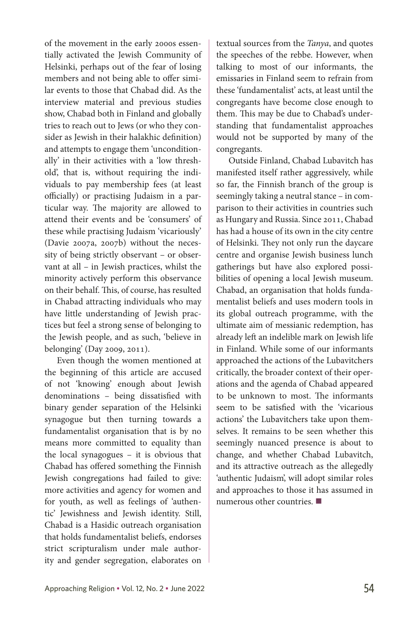of the movement in the early 2000s essentially activated the Jewish Community of Helsinki, perhaps out of the fear of losing members and not being able to offer similar events to those that Chabad did. As the interview material and previous studies show, Chabad both in Finland and globally tries to reach out to Jews (or who they consider as Jewish in their halakhic definition) and attempts to engage them 'unconditionally' in their activities with a 'low threshold', that is, without requiring the individuals to pay membership fees (at least officially) or practising Judaism in a particular way. The majority are allowed to attend their events and be 'consumers' of these while practising Judaism 'vicariously' (Davie 2007a, 2007b) without the necessity of being strictly observant – or observant at all – in Jewish practices, whilst the minority actively perform this observance on their behalf. This, of course, has resulted in Chabad attracting individuals who may have little understanding of Jewish practices but feel a strong sense of belonging to the Jewish people, and as such, 'believe in belonging' (Day 2009, 2011).

Even though the women mentioned at the beginning of this article are accused of not 'knowing' enough about Jewish denominations – being dissatisfied with binary gender separation of the Helsinki synagogue but then turning towards a fundamentalist organisation that is by no means more committed to equality than the local synagogues – it is obvious that Chabad has offered something the Finnish Jewish congregations had failed to give: more activities and agency for women and for youth, as well as feelings of 'authentic' Jewishness and Jewish identity. Still, Chabad is a Hasidic outreach organisation that holds fundamentalist beliefs, endorses strict scripturalism under male authority and gender segregation, elaborates on textual sources from the *Tanya*, and quotes the speeches of the rebbe. However, when talking to most of our informants, the emissaries in Finland seem to refrain from these 'fundamentalist' acts, at least until the congregants have become close enough to them. This may be due to Chabad's understanding that fundamentalist approaches would not be supported by many of the congregants.

Outside Finland, Chabad Lubavitch has manifested itself rather aggressively, while so far, the Finnish branch of the group is seemingly taking a neutral stance – in comparison to their activities in countries such as Hungary and Russia. Since 2011, Chabad has had a house of its own in the city centre of Helsinki. They not only run the daycare centre and organise Jewish business lunch gatherings but have also explored possibilities of opening a local Jewish museum. Chabad, an organisation that holds fundamentalist beliefs and uses modern tools in its global outreach programme, with the ultimate aim of messianic redemption, has already left an indelible mark on Jewish life in Finland. While some of our informants approached the actions of the Lubavitchers critically, the broader context of their operations and the agenda of Chabad appeared to be unknown to most. The informants seem to be satisfied with the 'vicarious actions' the Lubavitchers take upon themselves. It remains to be seen whether this seemingly nuanced presence is about to change, and whether Chabad Lubavitch, and its attractive outreach as the allegedly 'authentic Judaism', will adopt similar roles and approaches to those it has assumed in numerous other countries.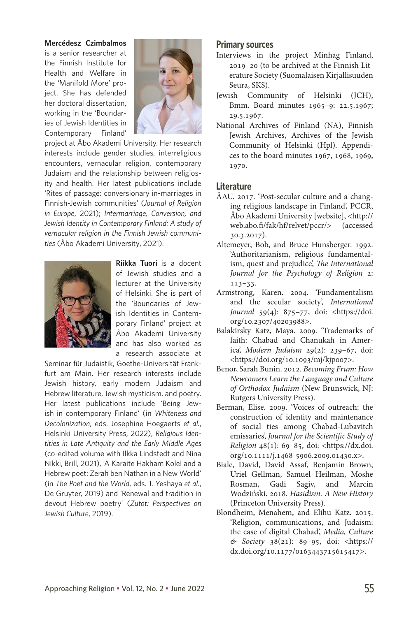#### **Mercédesz Czimbalmos**

is a senior researcher at the Finnish Institute for Health and Welfare in the 'Manifold More' project. She has defended her doctoral dissertation, working in the 'Boundaries of Jewish Identities in Contemporary Finland'



project at Åbo Akademi University. Her research interests include gender studies, interreligious encounters, vernacular religion, contemporary Judaism and the relationship between religiosity and health. Her latest publications include 'Rites of passage: conversionary in-marriages in Finnish-Jewish communities' (*Journal of Religion in Europe*, 2021); *Intermarriage, Conversion, and Jewish Identity in Contemporary Finland: A study of vernacular religion in the Finnish Jewish communities* (Åbo Akademi University, 2021).



**Riikka Tuori** is a docent of Jewish studies and a lecturer at the University of Helsinki. She is part of the 'Boundaries of Jewish Identities in Contemporary Finland' project at Åbo Akademi University and has also worked as a research associate at

Seminar für Judaistik, Goethe-Universität Frankfurt am Main. Her research interests include Jewish history, early modern Judaism and Hebrew literature, Jewish mysticism, and poetry. Her latest publications include 'Being Jewish in contemporary Finland' (in *Whiteness and Decolonization*, eds. Josephine Hoegaerts *et al.*, Helsinki University Press, 2022), *Religious Identities in Late Antiquity and the Early Middle Ages*  (co-edited volume with Ilkka Lindstedt and Nina Nikki, Brill, 2021), 'A Karaite Hakham Kolel and a Hebrew poet: Zerah ben Nathan in a New World' (in *The Poet and the World*, eds. J. Yeshaya *et al*., De Gruyter, 2019) and 'Renewal and tradition in devout Hebrew poetry' (*Zutot: Perspectives on Jewish Culture*, 2019).

#### **Primary sources**

- Interviews in the project Minhag Finland, 2019–20 (to be archived at the Finnish Literature Society (Suomalaisen Kirjallisuuden Seura, SKS).
- Jewish Community of Helsinki (JCH), Bmm. Board minutes 1965–9: 22.5.1967; 29.5.1967.
- National Archives of Finland (NA), Finnish Jewish Archives, Archives of the Jewish Community of Helsinki (Hpl). Appendices to the board minutes 1967, 1968, 1969, 1970.

### **Literature**

- ÅAU. 2017. 'Post-secular culture and a changing religious landscape in Finland', PCCR, Åbo Akademi University [website], <http:// web.abo.fi/fak/hf/relvet/pccr/> (accessed 30.3.2017).
- Altemeyer, Bob, and Bruce Hunsberger. 1992. 'Authoritarianism, religious fundamentalism, quest and prejudice', *The International Journal for the Psychology of Religion* 2: 113–33.
- Armstrong, Karen. 2004. 'Fundamentalism and the secular society', *International Journal* 59(4): 875–77, doi: [<https://doi.](https://doi.org/10.2307/40203988) [org/10.2307/40203988>](https://doi.org/10.2307/40203988).
- Balakirsky Katz, Maya. 2009. 'Trademarks of faith: Chabad and Chanukah in America', *Modern Judaism* 29(2): 239–67, doi: [<https://doi.org/10.1093/mj/kjp007>](https://doi.org/10.1093/mj/kjp007).
- Benor, Sarah Bunin. 2012. *Becoming Frum: How Newcomers Learn the Language and Culture of Orthodox Judaism* (New Brunswick, NJ: Rutgers University Press).
- Berman, Elise. 2009. 'Voices of outreach: the construction of identity and maintenance of social ties among Chabad-Lubavitch emissaries', *Journal for the Scientific Study of Religion* 48(1): 69–85, doi: <[https://dx.doi.](https://dx.doi.org/10.1111/j.1468-5906.2009.01430.x) [org/10.1111/j.1468-5906.2009.01430.x](https://dx.doi.org/10.1111/j.1468-5906.2009.01430.x)>.
- Biale, David, David Assaf, Benjamin Brown, Uriel Gellman, Samuel Heilman, Moshe Rosman, Gadi Sagiv, and Marcin Wodziński. 2018. *Hasidism. A New History* (Princeton University Press).
- Blondheim, Menahem, and Elihu Katz. 2015. 'Religion, communications, and Judaism: the case of digital Chabad', *Media, Culture & Society* 38(21): 89–95, doi: <[https://](https://dx.doi.org/10.1177/0163443715615417) [dx.doi.org/10.1177/0163443715615417>](https://dx.doi.org/10.1177/0163443715615417).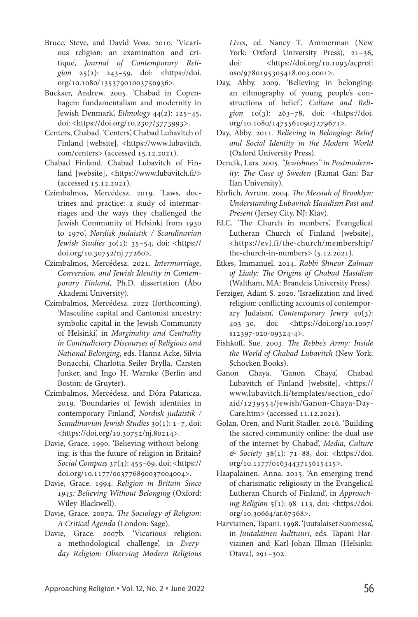- Bruce, Steve, and David Voas. 2010. 'Vicarious religion: an examination and critique', *Journal of Contemporary Religion* 25(2): 243–59, doi: [<https://doi.](https://doi.org/10.1080/13537901003750936) [org/10.1080/13537901003750936](https://doi.org/10.1080/13537901003750936)>.
- Buckser, Andrew. 2005. 'Chabad in Copenhagen: fundamentalism and modernity in Jewish Denmark', *Ethnology* 44(2): 125–45, doi[:](https://doi.org/10.2307/3773993) <<https://doi.org/10.2307/377399>[3>](https://doi.org/10.2307/3773993).
- Centers, Chabad. 'Centers', Chabad Lubavitch of Finland [website], [<https://www.lubavitch.](https://www.lubavitch.com/centers) [com/centers>](https://www.lubavitch.com/centers) (accessed 15.12.2021).
- Chabad Finland. Chabad Lubavitch of Finland [website], <[https://www.lubavitch.fi/>](https://www.lubavitch.fi/) (accessed 15.12.2021).
- Czimbalmos, Mercédesz. 2019. 'Laws, doctrines and practice: a study of intermarriages and the ways they challenged the Jewish Community of Helsinki from 1930 to 1970', *Nordisk judaistik / Scandinavian Jewish Studies* 30(1): 35–54, doi: <[https://](https://doi.org/10.30752/nj.77260) [doi.org/10.30752/nj.77260](https://doi.org/10.30752/nj.77260)>.
- Czimbalmos, Mercédesz. 2021. *Intermarriage, Conversion, and Jewish Identity in Contemporary Finland*, Ph.D. dissertation (Åbo Akademi University).
- Czimbalmos, Mercédesz. 2022 (forthcoming). 'Masculine capital and Cantonist ancestry: symbolic capital in the Jewish Community of Helsinki', in *Marginality and Centrality in Contradictory Discourses of Religious and National Belonging*, eds. Hanna Acke, Silvia Bonacchi, Charlotta Seiler Brylla, Carsten Junker, and Ingo H. Warnke (Berlin and Boston: de Gruyter).
- Czimbalmos, Mercédesz, and Dóra Pataricza. 2019. 'Boundaries of Jewish identities in contemporary Finland', *Nordisk judaistik / Scandinavian Jewish Studies* 30(1): 1–7, doi: [<https://doi.org/10.30752/nj.80214](https://doi.org/10.30752/nj.80214)>.
- Davie, Grace. 1990. 'Believing without belonging: is this the future of religion in Britain? *Social Compass* 37(4): 455–69, doi: <[https://](https://doi.org/10.1177/003776890037004004) [doi.org/10.1177/003776890037004004](https://doi.org/10.1177/003776890037004004)>.
- Davie, Grace. 1994. *Religion in Britain Since 1945: Believing Without Belonging* (Oxford: Wiley-Blackwell).
- Davie, Grace. 2007a. *The Sociology of Religion: A Critical Agenda* (London: Sage).
- Davie, Grace. 2007b. 'Vicarious religion: a methodological challenge', in *Everyday Religion: Observing Modern Religious*

*Lives*, ed. Nancy T. Ammerman (New York: Oxford University Press), 21–36, doi: [<https://doi.org/10.1093/acprof:](https://doi.org/10.1093/acprof:oso/9780195305418.003.0001) [oso/9780195305418.003.0001](https://doi.org/10.1093/acprof:oso/9780195305418.003.0001)>.

- Day, Abby. 2009. 'Believing in belonging: an ethnography of young people's constructions of belief', Culture and Reli*gion* 10(3): 263–78, doi: [<https://doi.](https://doi.org/10.1080/14755610903279671) [org/10.1080/14755610903279671](https://doi.org/10.1080/14755610903279671)>.
- Day, Abby. 2011. *Believing in Belonging: Belief and Social Identity in the Modern World*  (Oxford University Press).
- Dencik, Lars. 2005. *"Jewishness" in Postmodernity: The Case of Sweden* (Ramat Gan: Bar Ilan University).
- Ehrlich, Avrum. 2004. *The Messiah of Brooklyn: Understanding Lubavitch Hasidism Past and Present* (Jersey City, NJ: Ktav).
- ELC. 'The Church in numbers', Evangelical Lutheran Church of Finland [website], <[https://evl.fi/the-church/membership/](https://evl.fi/the-church/membership/the-church-in-numbers) [the-church-in-numbers>](https://evl.fi/the-church/membership/the-church-in-numbers) (5.12.2021).
- Etkes, Immanuel. 2014. *Rabbi Shneur Zalman of Liady: The Origins of Chabad Hasidism*  (Waltham, MA: Brandeis University Press).
- Ferziger, Adam S. 2020. 'Israelization and lived religion: conflicting accounts of contemporary Judaism', *Contemporary Jewry* 40(3): 403–30, doi: [<https://doi.org/10.1007/](https://doi.org/10.1007/s12397-020-09324-4) [s12397-020-09324-4](https://doi.org/10.1007/s12397-020-09324-4)>.
- Fishkoff, Sue. 2003. *The Rebbe's Army: Inside the World of Chabad-Lubavitch* (New York: Schocken Books).
- Ganon Chaya. 'Ganon Chaya', Chabad Lubavitch of Finland [website], <[https://](https://www.lubavitch.fi/templates/section_cdo/aid/1239554/jewish/Ganon-Chaya-Day-Care.htm) [www.lubavitch.fi/templates/section\\_cdo/](https://www.lubavitch.fi/templates/section_cdo/aid/1239554/jewish/Ganon-Chaya-Day-Care.htm) [aid/1239554/jewish/Ganon-Chaya-Day-](https://www.lubavitch.fi/templates/section_cdo/aid/1239554/jewish/Ganon-Chaya-Day-Care.htm)[Care.htm>](https://www.lubavitch.fi/templates/section_cdo/aid/1239554/jewish/Ganon-Chaya-Day-Care.htm) (accessed 11.12.2021).
- Golan, Oren, and Nurit Stadler. 2016. 'Building the sacred community online: the dual use of the internet by Chabad', *Media, Culture & Society* 38(1): 71–88, doi: [<https://doi.](https://doi.org/10.1177/0163443715615415) [org/10.1177/0163443715615415>](https://doi.org/10.1177/0163443715615415).
- Haapalainen. Anna. 2015. 'An emerging trend of charismatic religiosity in the Evangelical Lutheran Church of Finland', in *Approaching Religion* 5(1): 98–113, doi: <https://doi. org/10.30664/ar.67568>.
- Harviainen, Tapani. 1998. 'Juutalaiset Suomessa', in *Juutalainen kulttuuri*, eds. Tapani Harviainen and Karl-Johan Illman (Helsinki: Otava), 291–302.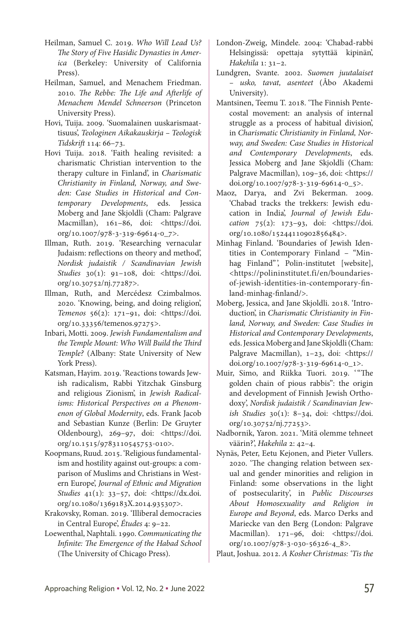- Heilman, Samuel C. 2019. *Who Will Lead Us? The Story of Five Hasidic Dynasties in America* (Berkeley: University of California Press).
- Heilman, Samuel, and Menachem Friedman. 2010. *The Rebbe: The Life and Afterlife of Menachem Mendel Schneerson* (Princeton University Press).
- Hovi, Tuija. 2009. 'Suomalainen uuskarismaattisuus', *Teologinen Aikakauskirja – Teologisk Tidskrift* 114: 66–73.
- Hovi Tuija. 2018. 'Faith healing revisited: a charismatic Christian intervention to the therapy culture in Finland', in *Charismatic Christianity in Finland, Norway, and Sweden: Case Studies in Historical and Contemporary Developments*, eds. Jessica Moberg and Jane Skjoldli (Cham: Palgrave Macmillan), 161-86, doi: [<https://doi.](https://doi.org/10.1007/978-3-319-69614-0_7) [org/10.1007/978-3-319-69614-0\\_7>](https://doi.org/10.1007/978-3-319-69614-0_7).
- Illman, Ruth. 2019. 'Researching vernacular Judaism: reflections on theory and method', *Nordisk judaistik / Scandinavian Jewish Studies* 30(1): 91–108, doi: <https://doi. org/10.30752/nj.77287>.
- Illman, Ruth, and Mercédesz Czimbalmos. 2020. 'Knowing, being, and doing religion', *Temenos* 56(2): 171–91, doi: [<https://doi.](https://doi.org/10.33356/temenos.97275) [org/10.33356/temenos.97275>](https://doi.org/10.33356/temenos.97275).
- Inbari, Motti. 2009. *Jewish Fundamentalism and the Temple Mount: Who Will Build the Third Temple?* (Albany: State University of New York Press).
- Katsman, Hayim. 2019. 'Reactions towards Jewish radicalism, Rabbi Yitzchak Ginsburg and religious Zionism', in *Jewish Radicalisms: Historical Perspectives on a Phenomenon of Global Modernity*, eds. Frank Jacob and Sebastian Kunze (Berlin: De Gruyter Oldenbourg), 269–97, doi: [<https://doi.](https://doi.org/10.1515/9783110545753-010) [org/10.1515/9783110545753-010](https://doi.org/10.1515/9783110545753-010)>.
- Koopmans, Ruud. 2015. 'Religious fundamentalism and hostility against out-groups: a comparison of Muslims and Christians in Western Europe', *Journal of Ethnic and Migration Studies* 41(1): 33–57, doi: [<https://dx.doi.](https://dx.doi.org/10.1080/1369183X.2014.935307) [org/10.1080/1369183X.2014.935307](https://dx.doi.org/10.1080/1369183X.2014.935307)>.
- Krakovsky, Roman. 2019. 'Illiberal democracies in Central Europe', *Études* 4: 9–22.
- Loewenthal, Naphtali. 1990. *Communicating the Infinite: The Emergence of the Habad School* (The University of Chicago Press).
- London-Zweig, Mindele. 2004: 'Chabad-rabbi Helsingissä: opettaja sytyttää kipinän', *Hakehila* 1: 31–2.
- Lundgren, Svante. 2002. *Suomen juutalaiset – usko, tavat, asenteet* (Åbo Akademi University).
- Mantsinen, Teemu T. 2018. 'The Finnish Pentecostal movement: an analysis of internal struggle as a process of habitual division', in *Charismatic Christianity in Finland, Norway, and Sweden: Case Studies in Historical and Contemporary Developments*, eds. Jessica Moberg and Jane Skjoldli (Cham: Palgrave Macmillan), 109*–*36, doi: <[https://](https://doi.org/10.1007/978-3-319-69614-0_5) [doi.org/10.1007/978-3-319-69614-0\\_5](https://doi.org/10.1007/978-3-319-69614-0_5)>.
- Maoz, Darya, and Zvi Bekerman. 2009. 'Chabad tracks the trekkers: Jewish education in India', *Journal of Jewish Education* 75(2): 173–93, doi: [<https://doi.](https://doi.org/10.1080/15244110902856484) [org/10.1080/15244110902856484](https://doi.org/10.1080/15244110902856484)>.
- Minhag Finland. 'Boundaries of Jewish Identities in Contemporary Finland – "Minhag Finland", Polin-institutet [website], [<https://polininstitutet.fi/en/boundaries](https://polininstitutet.fi/en/boundaries-of-jewish-identities-in-contemporary-finland-minhag-finland/)[of-jewish-identities-in-contemporary-fin](https://polininstitutet.fi/en/boundaries-of-jewish-identities-in-contemporary-finland-minhag-finland/)[land-minhag-finland/>](https://polininstitutet.fi/en/boundaries-of-jewish-identities-in-contemporary-finland-minhag-finland/).
- Moberg, Jessica, and Jane Skjoldli. 2018. 'Introduction', in *Charismatic Christianity in Finland, Norway, and Sweden: Case Studies in Historical and Contemporary Developments*, eds. Jessica Moberg and Jane Skjoldli(Cham: Palgrave Macmillan), 1-23, doi: <[https://](https://doi.org/10.1007/978-3-319-69614-0_1) [doi.org/10.1007/978-3-319-69614-0\\_1](https://doi.org/10.1007/978-3-319-69614-0_1)>.
- Muir, Simo, and Riikka Tuori. 2019. '"The golden chain of pious rabbis": the origin and development of Finnish Jewish Orthodoxy', *Nordisk judaistik / Scandinavian Jewish Studies* 30(1): 8–34, doi[:](https://doi.org/10.30752/nj.77253) [<https://doi.](https://doi.org/10.30752/nj.77253) [org/10.30752/nj.77253](https://doi.org/10.30752/nj.77253)>.
- Nadbornik, Yaron. 2021. 'Mitä olemme tehneet väärin?', *Hakehila* 2: 42–4.
- Nynäs, Peter, Eetu Kejonen, and Pieter Vullers. 2020. 'The changing relation between sexual and gender minorities and religion in Finland: some observations in the light of postsecularity', in *Public Discourses About Homosexuality and Religion in Europe and Beyond*, eds. Marco Derks and Mariecke van den Berg (London: Palgrave Macmillan). 171-96, doi: <https://doi. org/10.1007/978-3-030-56326-4\_8>.

Plaut, Joshua. 2012. *A Kosher Christmas: 'Tis the*